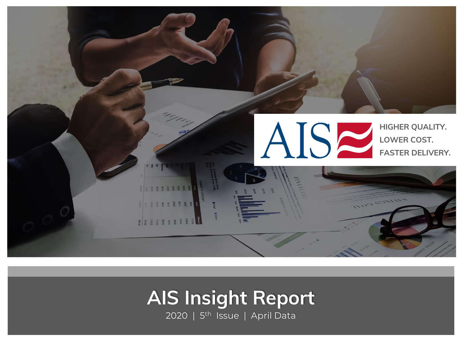<span id="page-0-0"></span>

# **Title AIS Insight Report**

2020 | 5<sup>th</sup> Issue | April Data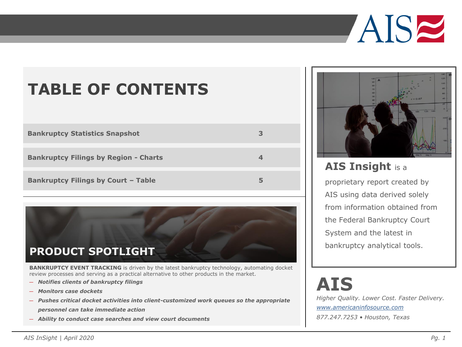

## **TABLE OF CONTENTS**

| <b>Bankruptcy Statistics Snapshot</b>        | 3 |
|----------------------------------------------|---|
|                                              |   |
| <b>Bankruptcy Filings by Region - Charts</b> |   |
|                                              |   |
| <b>Bankruptcy Filings by Court - Table</b>   |   |



**BANKRUPTCY EVENT TRACKING** is driven by the latest bankruptcy technology, automating docket review processes and serving as a practical alternative to other products in the market.

- ― *Notifies clients of bankruptcy filings*
- ― *Monitors case dockets*
- ― *Pushes critical docket activities into client-customized work queues so the appropriate personnel can take immediate action*
- ― *Ability to conduct case searches and view court documents*



### **AIS Insight** is a

proprietary report created by AIS using data derived solely from information obtained from the Federal Bankruptcy Court System and the latest in bankruptcy analytical tools.

# **AIS**

*Higher Quality. Lower Cost. Faster Delivery. [www.americaninfosource.com](http://www.americaninfosource.com/)*

*877.247.7253 • Houston, Texas*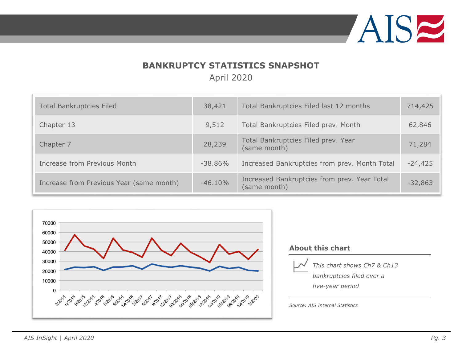

### **BANKRUPTCY STATISTICS SNAPSHOT**

April 2020

<span id="page-2-0"></span>

| <b>Total Bankruptcies Filed</b>          | 38,421     | Total Bankruptcies Filed last 12 months                      | 714,425   |
|------------------------------------------|------------|--------------------------------------------------------------|-----------|
| Chapter 13                               | 9,512      | Total Bankruptcies Filed prev. Month                         | 62,846    |
| Chapter 7                                | 28,239     | Total Bankruptcies Filed prev. Year<br>(same month)          | 71,284    |
| Increase from Previous Month             | $-38.86\%$ | Increased Bankruptcies from prev. Month Total                | $-24,425$ |
| Increase from Previous Year (same month) | $-46.10%$  | Increased Bankruptcies from prev. Year Total<br>(same month) | $-32,863$ |



#### **About this chart**



*This chart shows Ch7 & Ch13 bankruptcies filed over a five-year period*

*Source: AIS Internal Statistics*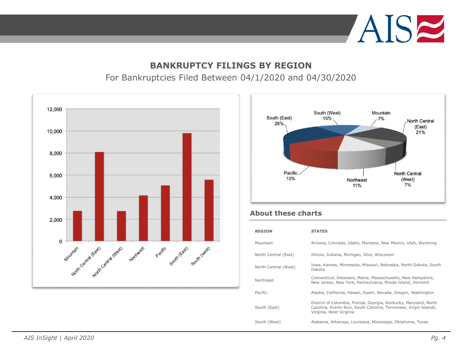

#### **BANKRUPTCY FILINGS BY REGION**

#### For Bankruptcies Filed Between 04/1/2020 and 04/30/2020

<span id="page-3-0"></span>



#### **About these charts**

| <b>REGION</b>        | <b>STATES</b>                                                                                                                                                     |
|----------------------|-------------------------------------------------------------------------------------------------------------------------------------------------------------------|
| Mountain             | Arizona, Colorado, Idaho, Montana, New Mexico, Utah, Wyoming                                                                                                      |
| North Central (East) | Illinois, Indiana, Michigan, Ohio, Wisconsin                                                                                                                      |
| North Central (West) | Iowa, Kansas, Minnesota, Missouri, Nebraska, North Dakota, South<br>Dakota                                                                                        |
| Northeast            | Connecticut, Delaware, Maine, Massachusetts, New Hampshire,<br>New Jersey, New York, Pennsylvania, Rhode Island, Vermont                                          |
| Pacific              | Alaska, California, Hawaii, Guam, Nevada, Oregon, Washington                                                                                                      |
| South (East)         | District of Columbia, Florida, Georgia, Kentucky, Maryland, North<br>Carolina, Puerto Rico, South Carolina, Tennessee, Virgin Islands,<br>Virginia, West Virginia |
| South (West)         | Alabama, Arkansas, Louisiana, Mississippi, Oklahoma, Texas                                                                                                        |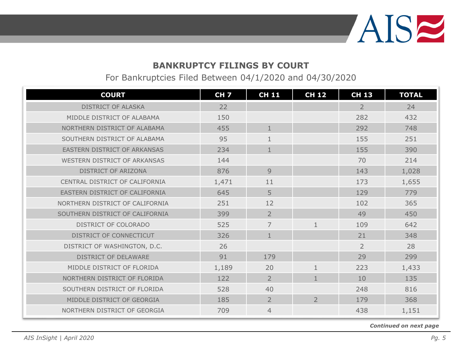

For Bankruptcies Filed Between 04/1/2020 and 04/30/2020

<span id="page-4-0"></span>

| <b>COURT</b>                    | <b>CH7</b> | <b>CH 11</b>   | <b>CH 12</b>   | <b>CH 13</b>   | <b>TOTAL</b> |
|---------------------------------|------------|----------------|----------------|----------------|--------------|
| <b>DISTRICT OF ALASKA</b>       | 22         |                |                | $\overline{2}$ | 24           |
| MIDDLE DISTRICT OF ALABAMA      | 150        |                |                | 282            | 432          |
| NORTHERN DISTRICT OF ALABAMA    | 455        | $\mathbf{1}$   |                | 292            | 748          |
| SOUTHERN DISTRICT OF ALABAMA    | 95         | $\mathbf{1}$   |                | 155            | 251          |
| EASTERN DISTRICT OF ARKANSAS    | 234        | $\mathbf{1}$   |                | 155            | 390          |
| WESTERN DISTRICT OF ARKANSAS    | 144        |                |                | 70             | 214          |
| DISTRICT OF ARIZONA             | 876        | 9              |                | 143            | 1,028        |
| CENTRAL DISTRICT OF CALIFORNIA  | 1,471      | 11             |                | 173            | 1,655        |
| EASTERN DISTRICT OF CALIFORNIA  | 645        | 5              |                | 129            | 779          |
| NORTHERN DISTRICT OF CALIFORNIA | 251        | 12             |                | 102            | 365          |
| SOUTHERN DISTRICT OF CALIFORNIA | 399        | $\overline{2}$ |                | 49             | 450          |
| DISTRICT OF COLORADO            | 525        | $\overline{7}$ | $\mathbf{1}$   | 109            | 642          |
| DISTRICT OF CONNECTICUT         | 326        | $\mathbf{1}$   |                | 21             | 348          |
| DISTRICT OF WASHINGTON, D.C.    | 26         |                |                | $\overline{2}$ | 28           |
| <b>DISTRICT OF DELAWARE</b>     | 91         | 179            |                | 29             | 299          |
| MIDDLE DISTRICT OF FLORIDA      | 1,189      | 20             | $\mathbf{1}$   | 223            | 1,433        |
| NORTHERN DISTRICT OF FLORIDA    | 122        | $\overline{2}$ | $\mathbf{1}$   | 10             | 135          |
| SOUTHERN DISTRICT OF FLORIDA    | 528        | 40             |                | 248            | 816          |
| MIDDLE DISTRICT OF GEORGIA      | 185        | $\overline{2}$ | $\overline{2}$ | 179            | 368          |
| NORTHERN DISTRICT OF GEORGIA    | 709        | 4              |                | 438            | 1,151        |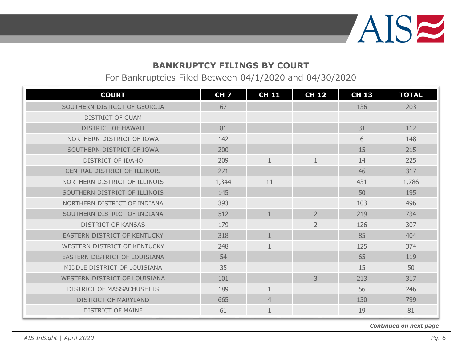

For Bankruptcies Filed Between 04/1/2020 and 04/30/2020

| <b>COURT</b>                     | CH <sub>7</sub> | <b>CH 11</b>   | <b>CH 12</b>   | <b>CH 13</b> | <b>TOTAL</b> |
|----------------------------------|-----------------|----------------|----------------|--------------|--------------|
| SOUTHERN DISTRICT OF GEORGIA     | 67              |                |                | 136          | 203          |
| <b>DISTRICT OF GUAM</b>          |                 |                |                |              |              |
| <b>DISTRICT OF HAWAII</b>        | 81              |                |                | 31           | 112          |
| NORTHERN DISTRICT OF IOWA        | 142             |                |                | 6            | 148          |
| SOUTHERN DISTRICT OF IOWA        | 200             |                |                | 15           | 215          |
| <b>DISTRICT OF IDAHO</b>         | 209             | 1              | $\mathbf{1}$   | 14           | 225          |
| CENTRAL DISTRICT OF ILLINOIS     | 271             |                |                | 46           | 317          |
| NORTHERN DISTRICT OF ILLINOIS    | 1,344           | 11             |                | 431          | 1,786        |
| SOUTHERN DISTRICT OF ILLINOIS    | 145             |                |                | 50           | 195          |
| NORTHERN DISTRICT OF INDIANA     | 393             |                |                | 103          | 496          |
| SOUTHERN DISTRICT OF INDIANA     | 512             | $\mathbf{1}$   | $\overline{2}$ | 219          | 734          |
| <b>DISTRICT OF KANSAS</b>        | 179             |                | $\overline{2}$ | 126          | 307          |
| EASTERN DISTRICT OF KENTUCKY     | 318             | $\mathbf{1}$   |                | 85           | 404          |
| WESTERN DISTRICT OF KENTUCKY     | 248             | 1              |                | 125          | 374          |
| EASTERN DISTRICT OF LOUISIANA    | 54              |                |                | 65           | 119          |
| MIDDLE DISTRICT OF LOUISIANA     | 35              |                |                | 15           | 50           |
| WESTERN DISTRICT OF LOUISIANA    | 101             |                | $\overline{3}$ | 213          | 317          |
| <b>DISTRICT OF MASSACHUSETTS</b> | 189             | 1              |                | 56           | 246          |
| <b>DISTRICT OF MARYLAND</b>      | 665             | $\overline{4}$ |                | 130          | 799          |
| <b>DISTRICT OF MAINE</b>         | 61              | $\mathbf{1}$   |                | 19           | 81           |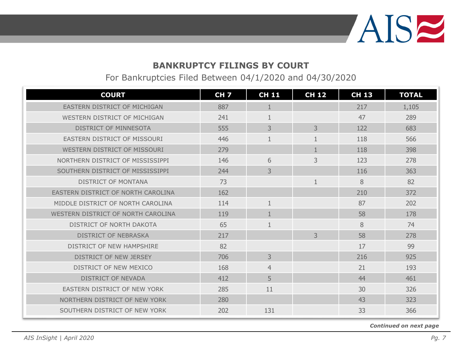

For Bankruptcies Filed Between 04/1/2020 and 04/30/2020

| <b>COURT</b>                       | <b>CH 7</b> | <b>CH 11</b>   | <b>CH 12</b> | <b>CH 13</b> | <b>TOTAL</b> |
|------------------------------------|-------------|----------------|--------------|--------------|--------------|
| EASTERN DISTRICT OF MICHIGAN       | 887         | 1              |              | 217          | 1,105        |
| WESTERN DISTRICT OF MICHIGAN       | 241         |                |              | 47           | 289          |
| DISTRICT OF MINNESOTA              | 555         | 3              | 3            | 122          | 683          |
| EASTERN DISTRICT OF MISSOURI       | 446         | 1              | 1            | 118          | 566          |
| WESTERN DISTRICT OF MISSOURI       | 279         |                | $\mathbf{1}$ | 118          | 398          |
| NORTHERN DISTRICT OF MISSISSIPPI   | 146         | 6              | 3            | 123          | 278          |
| SOUTHERN DISTRICT OF MISSISSIPPI   | 244         | 3              |              | 116          | 363          |
| <b>DISTRICT OF MONTANA</b>         | 73          |                | $\mathbf{1}$ | 8            | 82           |
| EASTERN DISTRICT OF NORTH CAROLINA | 162         |                |              | 210          | 372          |
| MIDDLE DISTRICT OF NORTH CAROLINA  | 114         |                |              | 87           | 202          |
| WESTERN DISTRICT OF NORTH CAROLINA | 119         |                |              | 58           | 178          |
| DISTRICT OF NORTH DAKOTA           | 65          | $\mathbf{1}$   |              | 8            | 74           |
| <b>DISTRICT OF NEBRASKA</b>        | 217         |                | 3            | 58           | 278          |
| DISTRICT OF NEW HAMPSHIRE          | 82          |                |              | 17           | 99           |
| DISTRICT OF NEW JERSEY             | 706         | 3              |              | 216          | 925          |
| DISTRICT OF NEW MEXICO             | 168         | $\overline{4}$ |              | 21           | 193          |
| <b>DISTRICT OF NEVADA</b>          | 412         | 5              |              | 44           | 461          |
| EASTERN DISTRICT OF NEW YORK       | 285         | 11             |              | 30           | 326          |
| NORTHERN DISTRICT OF NEW YORK      | 280         |                |              | 43           | 323          |
| SOUTHERN DISTRICT OF NEW YORK      | 202         | 131            |              | 33           | 366          |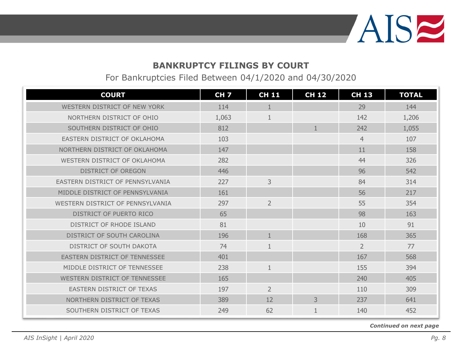

For Bankruptcies Filed Between 04/1/2020 and 04/30/2020

| <b>COURT</b>                            | <b>CH 7</b> | <b>CH 11</b>   | <b>CH 12</b> | <b>CH 13</b>   | <b>TOTAL</b> |
|-----------------------------------------|-------------|----------------|--------------|----------------|--------------|
| WESTERN DISTRICT OF NEW YORK            | 114         | 1              |              | 29             | 144          |
| NORTHERN DISTRICT OF OHIO               | 1,063       | 1              |              | 142            | 1,206        |
| SOUTHERN DISTRICT OF OHIO               | 812         |                | 1            | 242            | 1,055        |
| EASTERN DISTRICT OF OKLAHOMA            | 103         |                |              | $\overline{4}$ | 107          |
| NORTHERN DISTRICT OF OKLAHOMA           | 147         |                |              | 11             | 158          |
| WESTERN DISTRICT OF OKLAHOMA            | 282         |                |              | 44             | 326          |
| <b>DISTRICT OF OREGON</b>               | 446         |                |              | 96             | 542          |
| <b>FASTERN DISTRICT OF PENNSYLVANIA</b> | 227         | 3              |              | 84             | 314          |
| MIDDLE DISTRICT OF PENNSYLVANIA         | 161         |                |              | 56             | 217          |
| WESTERN DISTRICT OF PENNSYLVANIA        | 297         | $\overline{2}$ |              | 55             | 354          |
| DISTRICT OF PUERTO RICO                 | 65          |                |              | 98             | 163          |
| DISTRICT OF RHODE ISLAND                | 81          |                |              | 10             | 91           |
| DISTRICT OF SOUTH CAROLINA              | 196         | $\mathbf{1}$   |              | 168            | 365          |
| DISTRICT OF SOUTH DAKOTA                | 74          | 1              |              | $\overline{2}$ | 77           |
| EASTERN DISTRICT OF TENNESSEE           | 401         |                |              | 167            | 568          |
| MIDDLE DISTRICT OF TENNESSEE            | 238         | $\mathbf{1}$   |              | 155            | 394          |
| WESTERN DISTRICT OF TENNESSEE           | 165         |                |              | 240            | 405          |
| EASTERN DISTRICT OF TEXAS               | 197         | $\overline{2}$ |              | 110            | 309          |
| NORTHERN DISTRICT OF TEXAS              | 389         | 12             | 3            | 237            | 641          |
| SOUTHERN DISTRICT OF TEXAS              | 249         | 62             | $\mathbf{1}$ | 140            | 452          |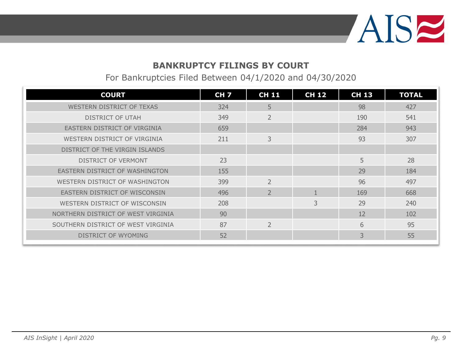

For Bankruptcies Filed Between 04/1/2020 and 04/30/2020

| <b>COURT</b>                       | <b>CH 7</b> | <b>CH 11</b>   | <b>CH 12</b> | <b>CH 13</b> | <b>TOTAL</b> |
|------------------------------------|-------------|----------------|--------------|--------------|--------------|
| WESTERN DISTRICT OF TEXAS          | 324         | 5              |              | 98           | 427          |
| <b>DISTRICT OF UTAH</b>            | 349         | $\overline{2}$ |              | 190          | 541          |
| EASTERN DISTRICT OF VIRGINIA       | 659         |                |              | 284          | 943          |
| WESTERN DISTRICT OF VIRGINIA       | 211         | 3              |              | 93           | 307          |
| DISTRICT OF THE VIRGIN ISLANDS     |             |                |              |              |              |
| DISTRICT OF VERMONT                | 23          |                |              | 5            | 28           |
| EASTERN DISTRICT OF WASHINGTON     | 155         |                |              | 29           | 184          |
| WESTERN DISTRICT OF WASHINGTON     | 399         | $\overline{2}$ |              | 96           | 497          |
| EASTERN DISTRICT OF WISCONSIN      | 496         | $\overline{2}$ |              | 169          | 668          |
| WESTERN DISTRICT OF WISCONSIN      | 208         |                | 3            | 29           | 240          |
| NORTHERN DISTRICT OF WEST VIRGINIA | 90          |                |              | 12           | 102          |
| SOUTHERN DISTRICT OF WEST VIRGINIA | 87          | $\overline{2}$ |              | 6            | 95           |
| DISTRICT OF WYOMING                | 52          |                |              | 3            | 55           |